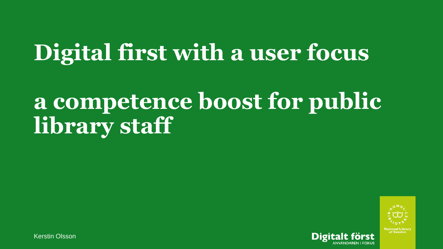# **Digital first with a user focus**

## **a competence boost for public library staff**



Kerstin Olsson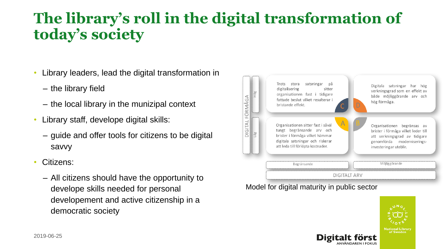### **The library's roll in the digital transformation of today's society**

- Library leaders, lead the digital transformation in
	- the library field
	- the local library in the munizipal context
- Library staff, develope digital skills:
	- guide and offer tools for citizens to be digital savvy
- Citizens:
	- All citizens should have the opportunity to develope skills needed for personal developement and active citizenship in a democratic society



Model for digital maturity in public sector

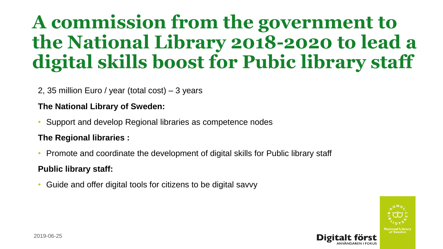## **A commission from the government to the National Library 2018-2020 to lead a digital skills boost for Pubic library staff**

#### 2, 35 million Euro / year (total cost) – 3 years

#### **The National Library of Sweden:**

• Support and develop Regional libraries as competence nodes

#### **The Regional libraries :**

• Promote and coordinate the development of digital skills for Public library staff

#### **Public library staff:**

• Guide and offer digital tools for citizens to be digital savvy

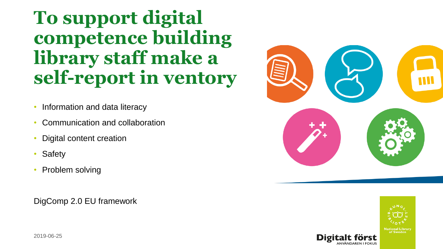**To support digital competence building library staff make a self-report in ventory**

- Information and data literacy
- Communication and collaboration
- Digital content creation
- **Safety**
- Problem solving

DigComp 2.0 EU framework



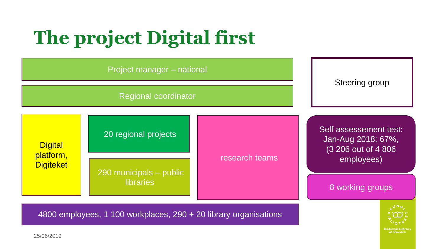## **The project Digital first**

| Project manager - national                                                     |                                             |                |                                                                     |  |
|--------------------------------------------------------------------------------|---------------------------------------------|----------------|---------------------------------------------------------------------|--|
| <b>Regional coordinator</b>                                                    |                                             |                | Steering group                                                      |  |
| <b>Digital</b><br>platform,<br><b>Digiteket</b>                                | 20 regional projects                        | research teams | Self assessement test:<br>Jan-Aug 2018: 67%,<br>(3 206 out of 4 806 |  |
|                                                                                | 290 municipals - public<br><b>libraries</b> |                | employees)<br>8 working groups                                      |  |
| 4800 employees, 1 100 workplaces, 290 + 20 library organisations<br>25/06/2019 |                                             |                |                                                                     |  |